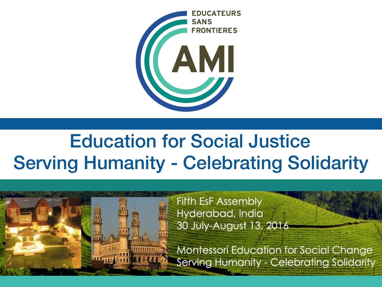

## Serving Humanity - Celebrating Solidarity Education for Social Justice

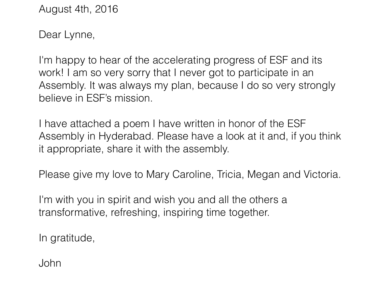August 4th, 2016

Dear Lynne,

I'm happy to hear of the accelerating progress of ESF and its work! I am so very sorry that I never got to participate in an Assembly. It was always my plan, because I do so very strongly believe in ESF's mission.

I have attached a poem I have written in honor of the ESF Assembly in Hyderabad. Please have a look at it and, if you think it appropriate, share it with the assembly.

Please give my love to Mary Caroline, Tricia, Megan and Victoria.

I'm with you in spirit and wish you and all the others a transformative, refreshing, inspiring time together.

In gratitude,

John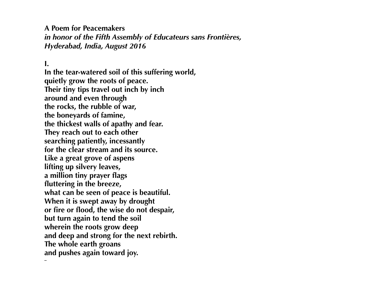**A Poem for Peacemakers**  *in honor of the Fifth Assembly of Educateurs sans Frontières, Hyderabad, India, August 2016*

**I.** 

**–**

**In the tear-watered soil of this suffering world, quietly grow the roots of peace. Their tiny tips travel out inch by inch around and even through the rocks, the rubble of war, the boneyards of famine, the thickest walls of apathy and fear. They reach out to each other searching patiently, incessantly for the clear stream and its source. Like a great grove of aspens lifting up silvery leaves, a million tiny prayer flags fluttering in the breeze, what can be seen of peace is beautiful. When it is swept away by drought or fire or flood, the wise do not despair, but turn again to tend the soil wherein the roots grow deep and deep and strong for the next rebirth. The whole earth groans and pushes again toward joy.**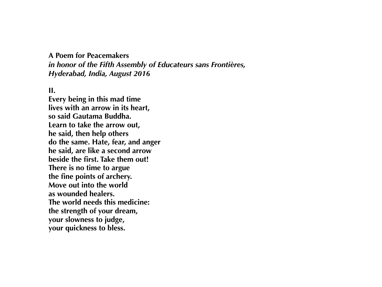#### **A Poem for Peacemakers**  *in honor of the Fifth Assembly of Educateurs sans Frontières, Hyderabad, India, August 2016*

**II.** 

**Every being in this mad time lives with an arrow in its heart, so said Gautama Buddha. Learn to take the arrow out, he said, then help others do the same. Hate, fear, and anger he said, are like a second arrow beside the first. Take them out! There is no time to argue the fine points of archery. Move out into the world as wounded healers. The world needs this medicine: the strength of your dream, your slowness to judge, your quickness to bless.**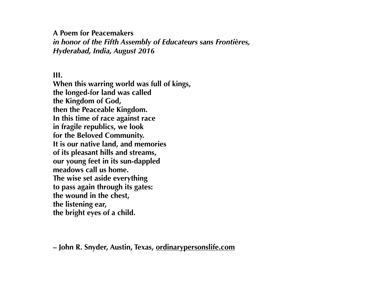#### **A Poem for Peacemakers**

*in honor of the Fifth Assembly of Educateurs sans Frontières, Hyderabad, India, August 2016* 

#### **III.**

**When this warring world was full of kings, the longed-for land was called the Kingdom of God, then the Peaceable Kingdom. In this time of race against race in fragile republics, we look for the Beloved Community. It is our native land, and memories of its pleasant hills and streams, our young feet in its sun-dappled meadows call us home. The wise set aside everything to pass again through its gates: the wound in the chest, the listening ear, the bright eyes of a child.**

**– John R. Snyder, Austin, Texas, [ordinarypersonslife.com](http://ordinarypersonslife.com)**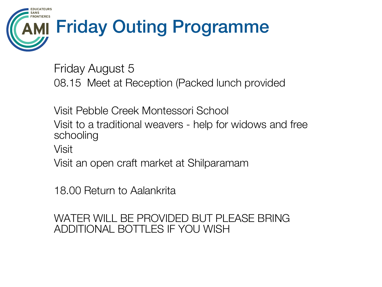#### AMI SANS **RONTIERES** EDUCATEURS Friday Outing Programme

Friday August 5 08.15 Meet at Reception (Packed lunch provided

Visit Pebble Creek Montessori School Visit to a traditional weavers - help for widows and free schooling

Visit

Visit an open craft market at Shilparamam

18.00 Return to Aalankrita

### WATER WILL BE PROVIDED BUT PLEASE BRING ADDITIONAL BOTTLES IF YOU WISH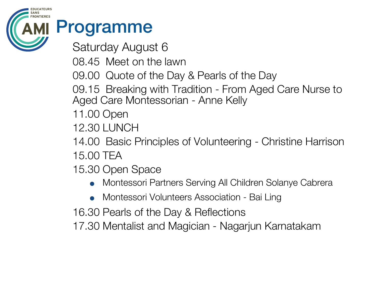# Programme

AMI

SANS **RONTIERES** EDUCATEURS

Saturday August 6

- 08.45 Meet on the lawn
- 09.00 Quote of the Day & Pearls of the Day
- 09.15 Breaking with Tradition From Aged Care Nurse to Aged Care Montessorian - Anne Kelly
- 11.00 Open
- 12.30 LUNCH
- 14.00 Basic Principles of Volunteering Christine Harrison 15.00 TEA
- 15.30 Open Space
	- Montessori Partners Serving All Children Solanye Cabrera
	- Montessori Volunteers Association Bai Ling
- 16.30 Pearls of the Day & Reflections
- 17.30 Mentalist and Magician Nagarjun Karnatakam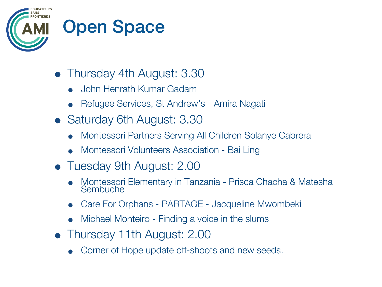

### Open Space

- Thursday 4th August: 3.30
	- John Henrath Kumar Gadam
	- Refugee Services, St Andrew's Amira Nagati
- Saturday 6th August: 3.30
	- Montessori Partners Serving All Children Solanye Cabrera
	- Montessori Volunteers Association Bai Ling
- Tuesday 9th August: 2.00
	- Montessori Elementary in Tanzania Prisca Chacha & Matesha **Sembuche**
	- Care For Orphans PARTAGE Jacqueline Mwombeki
	- Michael Monteiro Finding a voice in the slums
- Thursday 11th August: 2.00
	- Corner of Hope update off-shoots and new seeds.